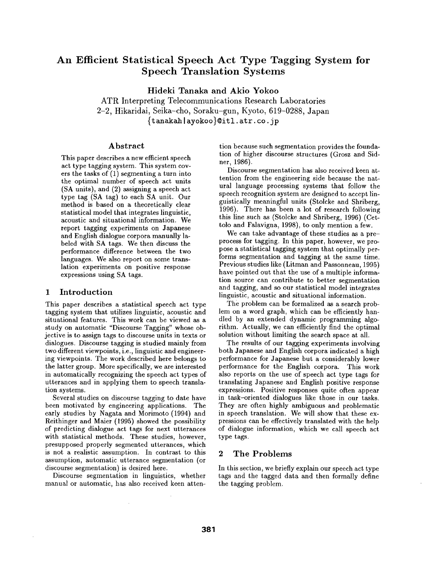# **An Efficient Statistical Speech Act Type Tagging System for Speech Translation Systems**

Hideki Tanaka and Akio **Yokoo** 

ATR Interpreting Telecommunications Research Laboratories 2-2, Hikaridai, Seika-cho, Soraku-gun, Kyoto, 619-0288, Japan {t anakah I ayokoo}©itl, atr. co. jp

## Abstract

This paper describes a new efficient speech act type tagging system. This system covers the tasks of (1) segmenting a turn into the optimal number of speech act units (SA units), and (2) assigning a speech act type tag (SA tag) to each SA unit. Our method is based on a theoretically clear statistical model that integrates linguistic, acoustic and situational information. We report tagging experiments on Japanese and English dialogue corpora manually labeled with SA tags. We then discuss the performance difference between the two languages. We also report on some translation experiments on positive response expressions using SA tags.

# **1** Introduction

This paper describes a statistical speech act type tagging system that utilizes linguistic, acoustic and situational features. This work can be viewed as a study on automatic "Discourse Tagging" whose objective is to assign tags to discourse units in texts or dialogues. Discourse tagging is studied mainly from two different viewpoints, i.e., linguistic and engineering viewpoints. The work described here belongs to the latter group. More specifically, we are interested in automatically recognizing the speech act types of utterances and in applying them to speech translation systems.

Several studies on discourse tagging to date have been motivated by engineering applications. The early studies by Nagata and Morimoto (1994) and Reithinger and Maier (1995) showed the possibility of predicting dialogue act tags for next utterances with statistical methods. These studies, however, presupposed properly segmented utterances, which is not a realistic assumption. In contrast to this assumption, automatic utterance segmentation (or discourse segmentation) is desired here.

Discourse segmentation in linguistics, whether manual or automatic, has also received keen atten-

 $\bar{z}$ 

tion because such segmentation provides the foundation of higher discourse structures (Grosz and Sidnet, 1986).

Discourse segmentation has also received keen attention from the engineering side because the natural language processing systems that follow the speech recognition system are designed to accept linguistically meaningful units (Stolcke and Shriberg, 1996). There has been a lot of research following this line such as (Stolcke and Shriberg, 1996) (Cettolo and Falavigna, 1998), to only mention a few.

We can take advantage of these studies as a preprocess for tagging. In this paper, however, we propose a statistical tagging system that optimally performs segmentation and tagging at the same time. Previous studies like (Litman and Passonneau, 1995) have pointed out that the use of a multiple information source can contribute to better segmentation and tagging, and so our statistical model integrates linguistic, acoustic and situational information.

The problem can be formalized as a search problem on a word graph, which can be efficiently handled by an extended dynamic programming algorithm. Actually, we can efficiently find the optimal solution without limiting the search space at all.

The results of our tagging experiments involving both Japanese and English corpora indicated a high performance for Japanese but a considerably lower performance for the English corpora. This work also reports on the use of speech act type tags for translating Japanese and English positive response expressions. Positive responses quite often appear in task-oriented dialogues like those in our tasks. They are often highly ambiguous and problematic in speech translation. We will show that these expressions can be effectively translated with the help of dialogue information, which we call speech act type tags.

# 2 The Problems

In this section, we briefly explain our speech act type tags and the tagged data and then formally define the tagging problem.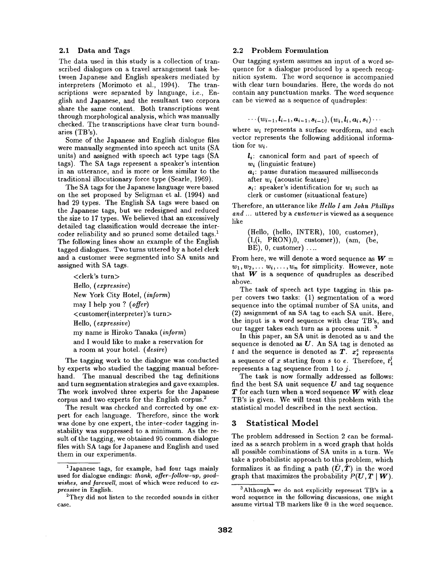#### 2.1 Data and Tags

The data used in this study is a collection of transcribed dialogues on a travel arrangement task between Japanese and English speakers mediated by interpreters (Morimoto et al., 1994). The transcriptions were separated by language, i.e., English and Japanese, and the resultant two corpora share the same content. Both transcriptions went through morphological analysis, which was manually checked. The transcriptions have clear turn boundaries (TB's).

Some of the Japanese and English dialogue files were manually segmented into speech act units (SA units) and assigned with speech act type tags (SA tags). The SA tags represent a speaker's intention in an utterance, and is more or less similar to the traditional illocutionary force type (Searle, 1969).

The SA tags for the Japanese language were based on the set proposed by Seligman et al. (1994) and had 29 types. The English SA tags were based on the Japanese tags, but we redesigned and reduced the size to 17 types. We believed that an excessively detailed tag classification would decrease the intercoder reliability and so pruned some detailed tags.<sup>1</sup> The following lines show an example of the English tagged dialogues. Two turns uttered by a hotel clerk and a customer were Segmented into SA units and assigned with SA tags.

<clerk's turn> Hello, (expressive) New York City Hotel, *(inform)*  may I help you ? *(offer)*  <customer(interpreter)'s turn> Hello, *(expressive)*  my name is Hiroko Tanaka *(inform)*  and I would like to make a reservation for a room at your hotel. *(desire)* 

The tagging work to the dialogue was conducted by experts who studied the tagging manual beforehand. The manual described the tag definitions and turn segmentation strategies and gave examples. The work involved three experts for the Japanese corpus and two experts for the English corpus. 2

The result was checked and corrected by one expert for each language. Therefore, since the work was done by one expert, the inter-coder tagging instability was suppressed to a minimum. As the result of the tagging, we obtained 95 common dialogue files with SA tags for Japanese and English and used them in our experiments.

#### 2.2 Problem Formulation

Our tagging system assumes an input of a word sequence for a dialogue produced by a speech recognition system. The word sequence is accompanied with clear turn boundaries. Here, the words do not contain any punctuation marks. The word sequence can be viewed as a sequence of quadruples:

$$
\cdots (w_{i-1},\bm{l}_{i-1},\bm{a}_{i-1},\bm{s}_{i-1}), (w_{i},\bm{l}_{i},\bm{a}_{i},\bm{s}_{i})\cdots
$$

where  $w_i$  represents a surface wordform, and each vector represents the following additional information for *wi.* 

*li:* canonical form and part of speech of  $w_i$  (linguistic feature) *ai:* pause duration measured milliseconds after  $w_i$  (acoustic feature) *si:* speaker's identification for *wi* such as clerk or customer (situational feature)

Therefore, an utterance like *Hello I am John Phillips and ...* uttered by a *cuslomer* is viewed as a sequence like

(Hello, (hello, INTER), 100, customer),  $(I,(i, PRON),0,$  customer)),  $(am, (be,$  $BE$ , 0, customer) ....

From here, we will denote a word sequence as  $W =$  $w_1, w_2, \ldots w_i, \ldots, w_n$  for simplicity. However, note that  $W$  is a sequence of quadruples as described above.

The task of speech act type tagging in this paper covers two tasks: (1) segmentation of a word sequence into the optimal number of SA units, and (2) assignment of an SA tag to each SA unit. Here, the input is a word sequence with clear TB's, and our tagger takes each turn as a process unit. 3

In this paper, an SA unit is denoted as  $u$  and the sequence is denoted as  $U$ . An SA tag is denoted as t and the sequence is denoted as  $T_i$ .  $x_i^e$  represents a sequence of x starting from s to e. Therefore,  $t_1^j$ represents a tag sequence from 1 to  $i$ .

The task is now formally addressed as follows: find the best SA unit sequence  $U$  and tag sequence  $T$  for each turn when a word sequence  $W$  with clear TB's is given. We will treat this problem with the statistical model described in the next section.

# 3 Statistical Model

The problem addressed in Section 2 can be formalized as a search problem in a word graph that holds all possible combinations of SA units in a turn. We take a probabilistie approach to this problem, which formalizes it as finding a path  $(U, T)$  in the word graph that maximizes the probability  $P(U, T | W)$ .

<sup>1</sup>Japanese tags, for example, had four tags mainly used for dialogue endings: *thank, offer-follow-up, goodwishes, and farewell,* most of which were reduced to *expressive* in English.

<sup>&</sup>lt;sup>2</sup>They did not listen to the recorded sounds in either case.

<sup>&</sup>lt;sup>3</sup> Although we do not explicitly represent TB's in a word sequence in the following discussions, one might assume virtual TB markers like @ in the word sequence.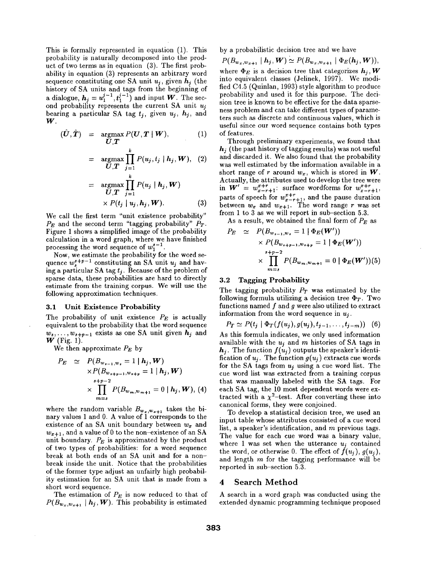This is formally represented in equation (1). This probability is naturally decomposed into the product of two terms as in equation (3). The first probability in equation (3) represents an arbitrary word sequence constituting one SA unit  $u_i$ , given  $h_i$  (the history of SA units and tags from the beginning of a dialogue,  $h_j = u_1^{j-1}, t_1^{j-1}$  and input W. The second probability represents the current SA unit  $u_j$ bearing a particular SA tag  $t_j$ , given  $u_j$ ,  $h_j$ , and **W.** 

$$
(\hat{\boldsymbol{U}}, \hat{\boldsymbol{T}}) = \operatorname*{argmax}_{\boldsymbol{U}, \boldsymbol{T}} P(\boldsymbol{U}, \boldsymbol{T} \mid \boldsymbol{W}), \qquad (1)
$$

$$
= \underset{\boldsymbol{U}, \boldsymbol{T}}{\operatorname{argmax}} \prod_{j=1}^{k} P(u_j, t_j \mid \boldsymbol{h}_j, \boldsymbol{W}), \quad (2)
$$

$$
= \underset{\boldsymbol{U}, \boldsymbol{T}}{\operatorname{argmax}} \prod_{j=1}^{k} P(u_j \mid \boldsymbol{h}_j, \boldsymbol{W})
$$

$$
\times P(t_j \mid u_j, \boldsymbol{h}_j, \boldsymbol{W}). \quad (3)
$$

We call the first term "unit existence probability"  $P_E$  and the second term "tagging probability"  $P_T$ . Figure 1 shows a simplified image of the probability calculation in a word graph, where we have finished processing the word sequence of  $w_1^{s-1}$ .

Now, we estimate the probability for the word sequence  $w^{s+p-1}$  constituting an SA unit  $u_j$  and having a particular SA tag  $t_i$ . Because of the problem of sparse data, these probabilities are hard to directly estimate from the training corpus. We will use the following approximation techniques.

### 3.1 Unit Existence Probability

The probability of unit existence *PE* is actually equivalent to the probability that the word sequence  $w_s, \ldots, w_{s+p-1}$  exists as one SA unit given  $h_j$  and  $\overrightarrow{\mathbf{W}}$  (Fig. 1).

We then approximate *PE* by

$$
P_E \simeq P(B_{w_{s-1},w_s} = 1 | \mathbf{h}_j, \mathbf{W})
$$
  
 
$$
\times P(B_{w_{s+p-1},w_{s+p}} = 1 | \mathbf{h}_j, \mathbf{W})
$$
  
 
$$
\times \prod_{m=s}^{s+p-2} P(B_{w_m,w_{m+1}} = 0 | \mathbf{h}_j, \mathbf{W}), (4)
$$

where the random variable  $B_{w_x,w_{x+1}}$  takes the binary values 1 and 0. A value of 1 corresponds to the existence of an SA unit boundary between  $w_x$  and  $w_{x+1}$ , and a value of 0 to the non-existence of an SA unit boundary.  $P_E$  is approximated by the product of two types of probabilities: for a word sequence break at both ends of an SA unit and for a nonbreak inside the unit. Notice that the probabilities of the former type adjust an unfairly high probability estimation for an SA unit that is made from a short word sequence.

The estimation of  $P_E$  is now reduced to that of  $P(B_{w_x,w_{x+1}} | h_j, \boldsymbol{W})$ . This probability is estimated

by a probabilistic decision tree and we have

 $P(B_{w_x,w_{x+1}} | h_j, W) \simeq P(B_{w_x,w_{x+1}} | \Phi_E(h_j, W)),$ where  $\Phi_E$  is a decision tree that categorizes  $h_i, W$ into equivalent classes (Jelinek, 1997). We modified C4.5 (Quinlan, 1993) style algorithm to produce probability and used it for this purpose. The decision tree is known to be effective for the data sparseness problem and can take different types of parameters such as discrete and continuous values, which is useful since our word sequence contains both types of features.

Through preliminary experiments, we found that *hj* (the past history of tagging results) was not useful and discarded it. We also found that the probability was well estimated by the information available in a short range of r around  $w_x$ , which is stored in W. Actually, the attributes used to develop the tree were in  $W' = w_{x-r+1}^{x+r}$ : surface wordforms for  $w_{x-r+1}^{x+r}$ , parts of speech for  $w_{x-r+1}^{x+r}$ , and the pause duration between  $w_x$  and  $w_{x+1}$ . The word range r was set from 1 to 3 as we will report in sub-section 5.3.

As a result, we obtained the final form of *PE* as

$$
P_E \simeq P(B_{w_{s-1},w_s} = 1 | \Phi_E(\mathbf{W}'))
$$
  
 
$$
\times P(B_{w_{s+p-1},w_{s+p}} = 1 | \Phi_E(\mathbf{W}'))
$$
  
 
$$
\times \prod_{m=s}^{s+p-2} P(B_{w_m,w_{m+1}} = 0 | \Phi_E(\mathbf{W}'))(5)
$$

### 3.2 Tagging Probability

The tagging probability  $P_T$  was estimated by the following formula utilizing a decision tree  $\Phi_T$ . Two functions named  $f$  and  $g$  were also utilized to extract information from the word sequence in *uj.* 

$$
P_T \simeq P(t_j \mid \Phi_T(f(u_j), g(u_j), t_{j-1}, \ldots, t_{j-m})) \quad (6)
$$

As this formula indicates, we only used information available with the *uj* and m histories of SA tags in  $\boldsymbol{h_j}.$  The function  $f(u_j)$  outputs the speaker's identification of  $u_j$ . The function  $g(u_j)$  extracts cue words for the SA tags from *uj* using a cue word list. The cue word list was extracted from a training corpus that was manually labeled with the SA tags. For each SA tag, the 10 most dependent words were extracted with a  $\chi^2$ -test. After converting these into canonical forms, they were conjoined.

To develop a statistical decision tree, we used an input table whose attributes consisted of a cue word list, a speaker's identification, and  $m$  previous tags. The value for each cue word was a binary value, where 1 was set when the utterance  $u_i$  contained the word, or otherwise 0. The effect of  $f(u_i)$ ,  $g(u_i)$ , and length m for the tagging performance will be reported in sub-section 5.3.

#### **4 Search Method**

A search in a word graph was conducted using the extended dynamic programming technique proposed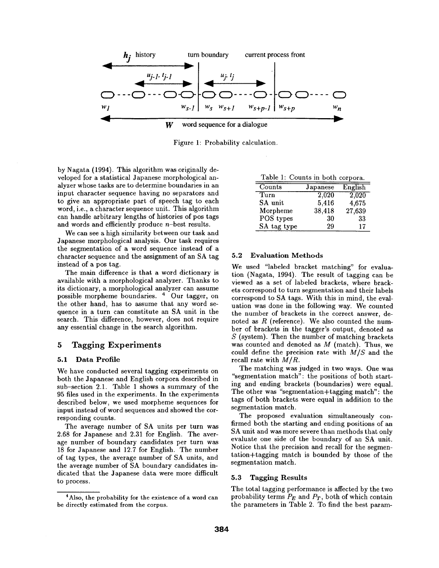

Figure 1: Probability calculation.

by Nagata (1994). This algorithm was originally developed for a statistical Japanese morphological analyzer whose tasks are to determine boundaries in an input character sequence having no separators and to give an appropriate part of speech tag to each word, i.e., a character sequence unit. This algorithm can handle arbitrary lengths of histories of pos tags and words and efficiently produce  $n$ -best results.

We can see a high similarity between our task and Japanese morphological analysis. Our task requires the segmentation of a word sequence instead of a character sequence and the assignment of an SA tag instead of a pos tag.

The main difference is that a word dictionary is available with a morphological analyzer. Thanks to its dictionary, a morphological analyzer can assume possible morpheme boundaries. 4 Our tagger, on the other hand, has to assume that any word sequence in a turn can constitute an SA unit in the search. This difference, however, does not require any essential change in the search algorithm.

# 5 Tagging Experiments

### 5.1 Data Profile

We have conducted several tagging experiments on both the Japanese and English corpora described in sub-section 2.1. Table 1 shows a summary of the 95 files used in the experiments. In the experiments described below, we used morpheme sequences for input instead of word sequences and showed the corresponding counts.

The average number of SA units per turn was 2.68 for Japanese and 2.31 for English. The average number of boundary candidates per turn was 18 for Japanese and 12.7 for English. The number of tag types, the average number of SA units, and the average number of SA boundary candidates indicated that the Japanese data were more difficult to process.

| Counts      | Japanese | English |
|-------------|----------|---------|
| Turn        | 2,020    | 2,020   |
| SA unit     | 5,416    | 4,675   |
| Morpheme    | 38,418   | 27,639  |
| POS types   | 30       | 33      |
| SA tag type | 29       | 17      |

### **5.2 Evaluation Methods**

We used "labeled bracket matching" for evaluation (Nagata, 1994). The result of tagging can be viewed as a set of labeled brackets, where brackets correspond to turn segmentation and their labels correspond to SA tags. With this in mind, the evaluation was done in the following way. We counted the number of brackets in the correct answer, denoted as  $R$  (reference). We also counted the number of brackets in the tagger's output, denoted as  $S$  (system). Then the number of matching brackets was counted and denoted as  $M$  (match). Thus, we could define the precision rate with *M/S* and the recall rate with *M/R.* 

The matching was judged in two ways. One was "segmentation match": the positions of both starting and ending brackets (boundaries) were equal. The other was "segmentation+tagging match": the tags of both brackets were equal in addition to the segmentation match.

The proposed evaluation simultaneously confirmed both the starting and ending positions of an SA unit and was more severe than methods that only evaluate one side of the boundary of an SA unit. Notice that the precision and recall for the segmentation+tagging match is bounded by those of the segmentation match.

### **5.3 Tagging** Results

The total tagging performance is affected by the two probability terms *PE* and *PT,* both of which contain the parameters in Table 2. To find the best param-

<sup>&</sup>lt;sup>4</sup> Also, the probability for the existence of a word can be directly estimated from the corpus.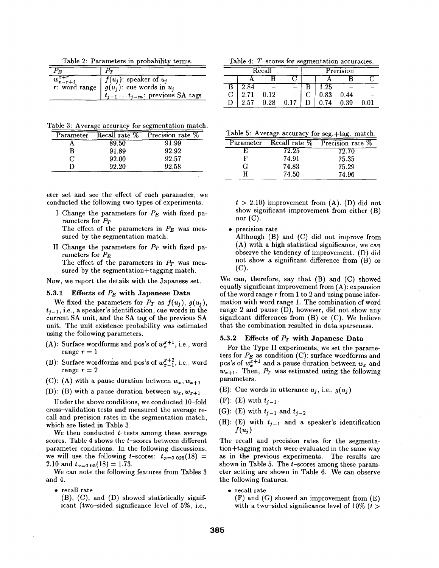Table 2: Parameters in probability terms.

| E                                             |                                                                                                             |
|-----------------------------------------------|-------------------------------------------------------------------------------------------------------------|
| $\overline{w^{x+r}_{x-r+1}}$<br>r: word range | $f(u_i)$ : speaker of $u_i$<br>$g(u_i)$ : cue words in $u_i$<br>$t_{j-1} \ldots t_{j-m}$ : previous SA tags |

Table 3: Average accuracy for segmentation match.

| Parameter | Recall rate % | Precision rate % |
|-----------|---------------|------------------|
|           | 89.50         | 91.99            |
| R         | 91.89         | 92.92            |
|           | 92.00         | 92.57            |
|           | 92.20         | 92.58            |

eter set and see the effect of each parameter, we conducted the following two types of experiments.

I Change the parameters for *PE* with fixed parameters for *PT* 

The effect of the parameters in  $P_E$  was measured by the segmentation match.

II Change the parameters for  $P_T$  with fixed parameters for  $P_E$ 

The effect of the parameters in *PT* was measured by the segmentation+tagging match.

Now, we report the details with the Japanese set.

#### **5.3.1 Effects of**  $P_E$  **with Japanese Data**

We fixed the parameters for  $P_T$  as  $f(u_j)$ ,  $g(u_j)$ ,  $t_{i-1}$ , i.e., a speaker's identification, cue words in the current SA unit, and the SA tag of the previous SA unit. The unit existence probability was estimated using the following parameters.

- (A): Surface wordforms and pos's of  $w_*^{x+1}$ , i.e., word range  $r = 1$
- (B): Surface wordforms and pos's of  $w_{x-1}^{x+2}$ , i.e., word range  $r = 2$
- (C): (A) with a pause duration between  $w_x, w_{x+1}$

(D): (B) with a pause duration between  $w_x, w_{x+1}$ 

Under the above conditions, we conducted 10-fold cross-validation tests and measured the average recall and precision rates in the segmentation match, which are listed in Table 3.

We then conducted  $t$ -tests among these average scores. Table 4 shows the  $t$ -scores between different parameter conditions. In the following discussions, we will use the following t-scores:  $t_{\alpha=0.025}(18)$  = 2.10 and  $t_{\alpha=0.05}(18) = 1.73$ .

We can note the following features from Tables 3 and 4.

• recall rate

(B), (C), and (D) showed statistically significant (two-sided significance level of 5%, i.e.,

Table 4: T-scores for segmentation accuracies.

|          | Recall |      |      | Precision |          |
|----------|--------|------|------|-----------|----------|
|          |        |      |      |           |          |
| $2.84\,$ |        |      | 1.25 |           |          |
| 2.71     | 0.12   |      | 0.83 | 0.44      |          |
| 2.57     | 0.28   | 0.17 | 0.74 | 0.39      | $0.01\,$ |

|  |  |  |  |  |  | Table 5: Average accuracy for seg.+tag. match. |  |
|--|--|--|--|--|--|------------------------------------------------|--|
|--|--|--|--|--|--|------------------------------------------------|--|

| Parameter | Recall rate % | Precision rate % |
|-----------|---------------|------------------|
|           | 72.25         | 72.70            |
| F         | 74.91         | 75.35            |
| G         | 74.83         | 75.29            |
|           | 74.50         | 74.96            |

 $t > 2.10$ ) improvement from  $(A)$ . (D) did not show significant improvement from either (B) nor  $(C)$ .

• precision rate

Although  $(B)$  and  $(C)$  did not improve from (A) with a high statistical significance, we can observe the tendency of improvement. (D) did not show a significant difference from (B) or (C).

We can, therefore, say that (B) and (C) showed equally significant improvement from (A): expansion of the word range  $r$  from 1 to 2 and using pause information with word range 1. The combination of word range 2 and pause (D), however, did not show any significant differences from (B) or (C). We believe that the combination resulted in data sparseness.

#### 5.3.2 **Effects of P<sub>T</sub>** with Japanese Data

For the Type II experiments, we set the parameters for  $P_E$  as condition (C): surface wordforms and pos's of  $w_x^{x+1}$  and a pause duration between  $w_x$  and  $w_{x+1}$ . Then,  $P_T$  was estimated using the following parameters.

- (E): Cue words in utterance  $u_j$ , i.e.,  $g(u_j)$
- (F): (E) with  $t_{i-1}$
- (G): (E) with  $t_{i-1}$  and  $t_{i-2}$
- (H): (E) with  $t_{j-1}$  and a speaker's identification  $f(u_i)$

The recall and precision rates for the segmentation÷tagging match were evaluated in the same way as in the previous experiments. The results are shown in Table 5. The  $t$ -scores among these parameter setting are shown in Table 6. We can observe the following features.

• recall rate

(F) and (G) showed an improvement from (E) with a two-sided significance level of 10%  $(t >$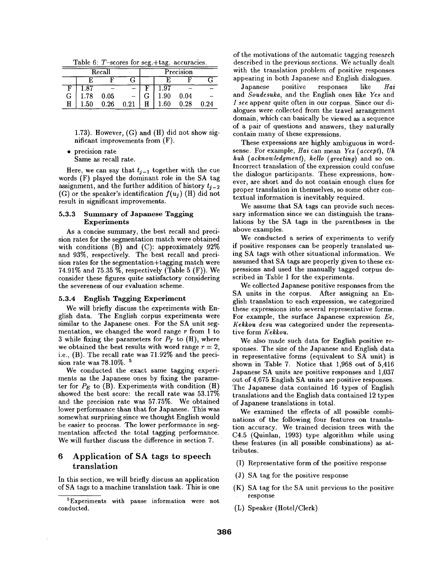| Table 6: $T$ -scores for seg.+tag. accuracies. |  |
|------------------------------------------------|--|
|------------------------------------------------|--|

|   |      | Recall |      |   |      | Precision |      |
|---|------|--------|------|---|------|-----------|------|
|   |      | R      |      |   |      |           |      |
|   |      |        |      |   | .97  |           |      |
| G | 1.78 | 0.05   |      |   | 1.90 | 0.04      |      |
| Η | 1.50 | 0.26   | 0.21 | Н | .60  | 0.28      | 0.24 |

1.73). However, (G) and (H) did not show significant improvements from (F).

• precision rate

Same as recall rate.

Here, we can say that  $t_{i-1}$  together with the cue words (F) played the dominant role in the SA tag assignment, and the further addition of history  $t_{j-2}$ (G) or the speaker's identification  $f(u_i)$  (H) did not result in significant improvements.

#### 5.3.3 Summary of **Japanese Tagging**  Experiments

As a concise summary, the best recall and precision rates for the segmentation match were obtained with conditions  $(B)$  and  $(C)$ : approximately  $92\%$ and 93%, respectively. The best recall and precision rates for the segmentation+tagging match were 74.91% and 75.35 %, respectively (Table 5 (F)). We consider these figures quite satisfactory considering the severeness of our evaluation scheme.

#### **5.3.4 English Tagging Experiment**

We will briefly discuss the experiments with English data. The English corpus experiments were similar to the Japanese ones. For the SA unit segmentation, we changed the word range  $r$  from 1 to 3 while fixing the parameters for  $P_T$  to  $(H)$ , where we obtained the best results with word range  $r = 2$ , i.e., (B). The recall rate was 71.92% and the precision rate was 78.10%. 5

We conducted the exact same tagging experiments as the Japanese ones by fixing the parameter for  $P_E$  to (B). Experiments with condition (H) showed the best score: the recall rate was 53.17% and the precision rate was 57.75%. We obtained lower performance than that for Japanese. This was somewhat surprising since we thought English would be easier to process. The lower performance in segmentation affected the total tagging performance. We will further discuss the difference in section 7.

# 6 Application of SA tags to speech translation

In this section, we will briefly discuss an application of SA tags to a machine translation task. This is one of the motivations of the automatic tagging research described in the previous sections. We actually dealt with the translation problem of positive responses appearing in both Japanese and English dialogues.

Japanese positive responses like *Hat*  and *Soudesuka,* and the English ones like *Yes* and *I see* appear quite often in our corpus. Since our dialogues were collected from the travel arrangement domain, which can basically be viewed as a sequence of a pair of questions and answers, they naturally contain many of these expressions.

These expressions are highly ambiguous in wordsense. For example, *Hai* can mean *Yes (accept), Uh huh (acknowledgment), hello (greeting)* and so on. Incorrect translation of the expression could confuse the dialogue participants. These expressions, however, are short and do not contain enough clues for proper translation in themselves, so some other contextual information is inevitably required.

We assume that SA tags can provide such necessary information since we can distinguish the translations by the SA tags in the parentheses in the above examples.

We conducted a series of experiments to verify if positive responses can be properly translated using SA tags with other situational information. We assumed that SA tags are properly given to these expressions and used the manually tagged corpus described in Table 1 for the experiments.

We collected Japanese positive responses from the SA units in the corpus. After assigning an English translation to each expression, we categorized these expressions into several representative forms. For example, the surface Japanese expression *Ee, Kekkou desu* was categorized under the representative form *Kekkou.* 

We also made such data for English positive responses. The size of the Japanese and English data in representative forms (equivalent to SA unit) is shown in Table 7. Notice that 1,968 out of 5,416 Japanese SA units are positive responses and 1,037 out of 4,675 English SA units are positive responses. The Japanese data contained 16 types of English translations and the English data contained 12 types of Japanese translations in total.

We examined the effects of all possible combinations of the following four features on translation accuracy. We trained decision trees with the C4.5 (Quinlan, 1993) type algorithm while using these features (in all possible combinations) as attributes.

- (I) Representative form of the positive response
- (J) SA tag for the positive response
- (K) SA tag for the SA unit previous to the positive response
- (L) Speaker (Hotel/Clerk)

<sup>~</sup>Experiments with pause information were not conducted.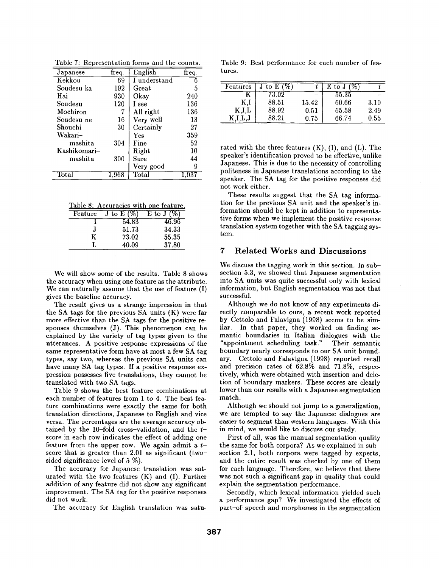| Table 7: Representation forms and the counts. |  |
|-----------------------------------------------|--|
|                                               |  |

| Japanese               | freq.      | English      | freq. |
|------------------------|------------|--------------|-------|
| Kekkou                 | 69         | I understand |       |
| Soudesu ka             | 192        | $Great$      | 5     |
| Hai                    | 930        | Okay         | 240   |
| Soudesu                | 120        | I see        | 136   |
| Mochiron               | 7          | All right    | 136   |
| Soudesu ne             | 16         | Very well    | 13    |
| Shouchi                | 30         | Certainly    | 27    |
| Wakari-                |            | Yes          | 359   |
| mashita                | 304        | Fine         | 52    |
| Kashikomari-           |            | Right        | 10    |
| mashita                | 300        | Sure         | 44    |
|                        |            | Very good    | 9     |
| $\operatorname{Total}$ | $_{1.968}$ | Total        |       |

| Table 8: Accuracies with one feature. |               |          |  |  |
|---------------------------------------|---------------|----------|--|--|
| Feature                               | J to E $(\%)$ | E to J ( |  |  |
|                                       | 54.83         | 46.96    |  |  |
|                                       | 51.73         | 34.33    |  |  |
|                                       | 73.02         | 55.35    |  |  |
|                                       | 40.09         | 37.80    |  |  |

We will show some of the results. Table 8 shows the accuracy when using one feature as the attribute. We can naturally assume that the use of feature (I) gives the baseline accuracy.

The result gives us a strange impression in that the SA tags for the previous SA units (K) were far more effective than the SA tags for the positive responses themselves (J). This phenomenon can be explained by the variety of tag types given to the utterances. A positive response expressions of the same representative form have at most a few SA tag types, say two, whereas the previous SA units can have many SA tag types. If a positive response expression possesses five translations, they cannot be translated with two SA tags.

Table 9 shows the best feature combinations at each number of features from 1 to 4. The best feature combinations were exactly the same for both translation directions, Japanese to English and vice versa. The percentages are the average accuracy obtained by the 10-fold cross-validation, and the  $t$ score in each row indicates the effect of adding one feature from the upper row. We again admit a  $t$ score that is greater than 2.01 as significant (twosided significance level of 5 %).

The accuracy for Japanese translation was saturated with the two features (K) and (I). Further addition of any feature did not show any significant improvement. The SA tag for the positive responses did not work.

The accuracy for English translation was satu-

Table 9: Best performance for each number of features.

| Features         | to E $($ % |          | ${\rm E}$ to ${\rm J}$ |      |
|------------------|------------|----------|------------------------|------|
|                  | 73.02      |          | 55.35                  |      |
| Κ,I              | 88.51      | 15.42    | 60.66                  | 3.10 |
| $_{\rm K,I,L}$   | 88.92      | $0.51\,$ | 65.58                  | 2.49 |
| $_{\rm K,I,L,J}$ | 88.21      | 0.75     | 66.74                  | 0.55 |

rated with the three features  $(K)$ ,  $(I)$ , and  $(L)$ . The speaker's identification proved to be effective, unlike Japanese. This is due to the necessity of controlling politeness in Japanese translations according to the speaker. The SA tag for the positive responses did not work either.

These results suggest that the SA tag information for the previous SA unit and the speaker's information should be kept in addition to representative forms when we implement the positive response translation system together with the SA tagging system.

# 7 Related Works and Discussions

We discuss the tagging work in this section. In subsection 5.3, we showed that Japanese segmentation into SA units was quite successful only with lexical information, but English segmentation was not that successful.

Although we do not know of any experiments directly comparable to ours, a recent work reported by Cettolo and Falavigna (1998) seems to be similar. In that paper, they worked on finding semantic boundaries in Italian dialogues with the "appointment scheduling task." Their semantic boundary nearly corresponds to our SA unit boundary. Cettolo and Falavigna (1998) reported recall and precision rates of 62.8% and 71.8%, respectively, which were obtained with insertion and deletion of boundary markers. These scores are clearly lower than our results with a Japanese segmentation match.

Although we should not jump to a generalization, we are tempted to say the Japanese dialogues are easier to segment than western languages. With this in mind, we would like to discuss our study.

First of all, was the manual segmentation quality the same for both corpora? As we explained in subsection 2.1, both corpora were tagged by experts, and the entire result was checked by one of them for each language. Therefore, we believe that there was not such a significant gap in quality that could explain the segmentation performance.

Secondly, which lexical information yielded such performance gap? We investigated the effects of part-of-speech and morphemes in the segmentation